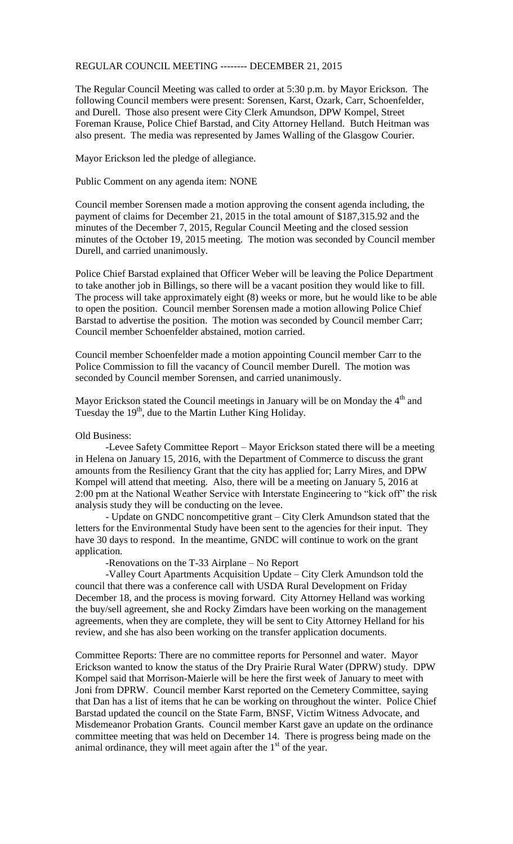## REGULAR COUNCIL MEETING -------- DECEMBER 21, 2015

The Regular Council Meeting was called to order at 5:30 p.m. by Mayor Erickson. The following Council members were present: Sorensen, Karst, Ozark, Carr, Schoenfelder, and Durell. Those also present were City Clerk Amundson, DPW Kompel, Street Foreman Krause, Police Chief Barstad, and City Attorney Helland. Butch Heitman was also present. The media was represented by James Walling of the Glasgow Courier.

Mayor Erickson led the pledge of allegiance.

Public Comment on any agenda item: NONE

Council member Sorensen made a motion approving the consent agenda including, the payment of claims for December 21, 2015 in the total amount of \$187,315.92 and the minutes of the December 7, 2015, Regular Council Meeting and the closed session minutes of the October 19, 2015 meeting. The motion was seconded by Council member Durell, and carried unanimously.

Police Chief Barstad explained that Officer Weber will be leaving the Police Department to take another job in Billings, so there will be a vacant position they would like to fill. The process will take approximately eight (8) weeks or more, but he would like to be able to open the position. Council member Sorensen made a motion allowing Police Chief Barstad to advertise the position. The motion was seconded by Council member Carr; Council member Schoenfelder abstained, motion carried.

Council member Schoenfelder made a motion appointing Council member Carr to the Police Commission to fill the vacancy of Council member Durell. The motion was seconded by Council member Sorensen, and carried unanimously.

Mayor Erickson stated the Council meetings in January will be on Monday the  $4<sup>th</sup>$  and Tuesday the  $19<sup>th</sup>$ , due to the Martin Luther King Holiday.

## Old Business:

-Levee Safety Committee Report – Mayor Erickson stated there will be a meeting in Helena on January 15, 2016, with the Department of Commerce to discuss the grant amounts from the Resiliency Grant that the city has applied for; Larry Mires, and DPW Kompel will attend that meeting. Also, there will be a meeting on January 5, 2016 at 2:00 pm at the National Weather Service with Interstate Engineering to "kick off" the risk analysis study they will be conducting on the levee.

- Update on GNDC noncompetitive grant – City Clerk Amundson stated that the letters for the Environmental Study have been sent to the agencies for their input. They have 30 days to respond. In the meantime, GNDC will continue to work on the grant application.

-Renovations on the T-33 Airplane – No Report

-Valley Court Apartments Acquisition Update – City Clerk Amundson told the council that there was a conference call with USDA Rural Development on Friday December 18, and the process is moving forward. City Attorney Helland was working the buy/sell agreement, she and Rocky Zimdars have been working on the management agreements, when they are complete, they will be sent to City Attorney Helland for his review, and she has also been working on the transfer application documents.

Committee Reports: There are no committee reports for Personnel and water. Mayor Erickson wanted to know the status of the Dry Prairie Rural Water (DPRW) study. DPW Kompel said that Morrison-Maierle will be here the first week of January to meet with Joni from DPRW. Council member Karst reported on the Cemetery Committee, saying that Dan has a list of items that he can be working on throughout the winter. Police Chief Barstad updated the council on the State Farm, BNSF, Victim Witness Advocate, and Misdemeanor Probation Grants. Council member Karst gave an update on the ordinance committee meeting that was held on December 14. There is progress being made on the animal ordinance, they will meet again after the  $1<sup>st</sup>$  of the year.